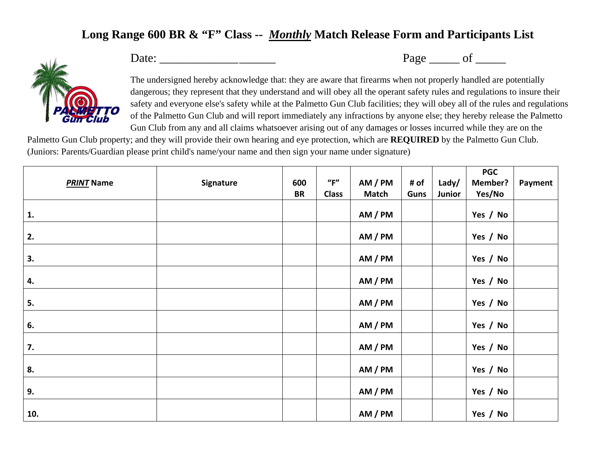## **Long Range 600 BR & "F" Class --** *Monthly* **Match Release Form and Participants List**



Date: \_\_\_\_\_\_\_\_\_\_\_\_\_ \_\_\_\_\_\_ Page \_\_\_\_\_ of \_\_\_\_\_

The undersigned hereby acknowledge that: they are aware that firearms when not properly handled are potentially dangerous; they represent that they understand and will obey all the operant safety rules and regulations to insure their safety and everyone else's safety while at the Palmetto Gun Club facilities; they will obey all of the rules and regulations of the Palmetto Gun Club and will report immediately any infractions by anyone else; they hereby release the Palmetto Gun Club from any and all claims whatsoever arising out of any damages or losses incurred while they are on the

Palmetto Gun Club property; and they will provide their own hearing and eye protection, which are **REQUIRED** by the Palmetto Gun Club. (Juniors: Parents/Guardian please print child's name/your name and then sign your name under signature)

|                   |           |           |                      |              |      |        | <b>PGC</b>     |         |
|-------------------|-----------|-----------|----------------------|--------------|------|--------|----------------|---------|
| <b>PRINT Name</b> | Signature | 600       | $^{\prime\prime}$ F" | AM / PM      | # of | Lady/  | <b>Member?</b> | Payment |
|                   |           | <b>BR</b> | <b>Class</b>         | <b>Match</b> | Guns | Junior | Yes/No         |         |
| 1.                |           |           |                      | AM / PM      |      |        | Yes / No       |         |
| 2.                |           |           |                      | AM / PM      |      |        | Yes / No       |         |
| 3.                |           |           |                      | AM / PM      |      |        | Yes / No       |         |
| 4.                |           |           |                      | AM / PM      |      |        | Yes / No       |         |
| 5.                |           |           |                      | AM / PM      |      |        | Yes / No       |         |
| 6.                |           |           |                      | AM / PM      |      |        | Yes / No       |         |
| 7.                |           |           |                      | AM / PM      |      |        | Yes / No       |         |
| 8.                |           |           |                      | AM / PM      |      |        | Yes / No       |         |
| 9.                |           |           |                      | AM / PM      |      |        | Yes / No       |         |
| 10.               |           |           |                      | AM / PM      |      |        | Yes / No       |         |